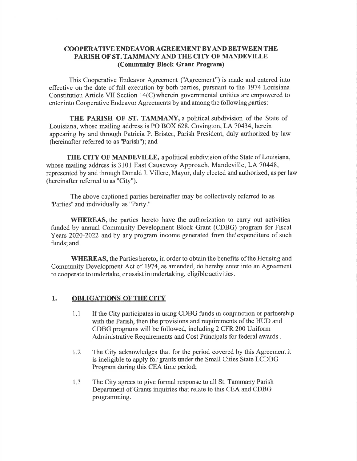## COOPERATIVE ENDEAVOR AGREEMENT BYAND BETWEEN THE PARISH OF ST. TAMMANY AND THE CITY OF MANDEVILLE (Community Block Grant Program)

This Cooperative Endeavor Agreement ('Agreement") is made and entered into effective on the date of full execution by both parties, pursuant to the 1974 Louisiana Constitution Article VII Section 14(C)wherein governmental entities are empowered to enter into Cooperative Endeavor Agreements by and among the following parties:

**THE PARISH OF ST. TAMMANY, a political subdivision of the State of** Louisiana, whose mailing address is PO BOX 628, Covington, LA 70434, herein appearing by and through Patricia P. Brister, Parish President, duly authorized by law (hereinafter referred to as 'Parish"); and

THE CITY OF MANDEVILLE, a political subdivision of the State of Louisiana, whose mailing address is 3101 East Causeway Approach, Mandeville, LA 70448, represented by and through Donald J. Villere, Mayor, duly elected and authorized, as per law (hereinafter referred to as "Cify").

The above captioned parties hereinafter may be collectively referred to as "Parties" and individually as "Party."

WHEREAS, the parties hereto have the authorization to carry out activities funded by annual Community Development Block Grant (CDBG) program for Fiscal Years 2020-2022 and by any program income generated from the'expenditure of such funds; and

WHEREAS, the Parties hereto, in order to obtain the benefits of the Housing and Community Development Act of 1974, as amended, do hereby enter into an Agreement to cooperate to undertake, or assist in undertaking, eligible activities.

## 1. OBLIGATIONS OFTHE CITY

- 1.1 If the City participates in using CDBG funds in conjunction or partnership with the Parish, then the provisions and requirements of the HUD and CDBG programs will be followed, including 2 CFR 200 Uniform Administrative Requirements and Cost Principals for federal awards .
- The City acknowledges that for the period covered by this Agreement it is ineligible to apply for grants under the Small Cities State LCDBG Program during this CEA time period; 1.2
- The City agrees to give formal response to all St. Tammany Parish Department of Grants inquiries that relate to this CEA and CDBG programming. 1.3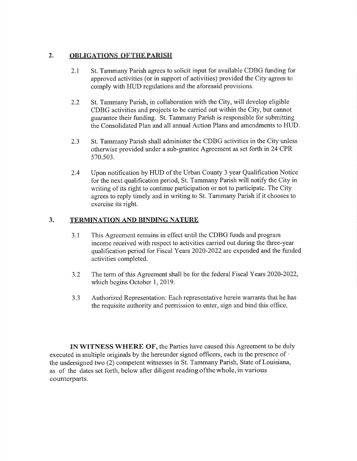## 2. OBLIGATIONS OF THE PARISH

- 2.1 St. Tammany Parish agrees to solicit input for available CDBG funding for approved activities (or in support of activities) provided the City agrees to comply with HUD regulations and the aforesaid provisions.
- 2.2 St. Tammany Parish, in collaboration with the City, will develop eligible CDBG activities and projects to be carried out within the City, but cannot guarantee their funding. St. Tammany Parish is responsible for submitting the Consolidated Plan and all annual Action Plans and amendments to HUD.
- 2.3 St. Tammany Parish shall administer the CDBG activities in the City unless otherwise provided under a sub-grantee Agreement as set forth in 24 CPR 570.503.
- 2.4 Upon notification by HUD of the Urban County 3 year Qualification Notice for the next qualification period, St. Tammany Parish will notify the City in writing of its right to continue participation or not to participate. The City agrees to reply timely and in writing to St. Tammany Parish if it chooses to exercise its right.

## 3. TERMINATION AND RINDING NATURE

- 3.1 This Agreement remains in effect until the CDBG funds and program income received with respect to activities carried out during the three-year qualification period for Fiscal Years 2020-2022 are expended and the funded activities completed.
- 3.2 The term of this Agreement shall be for the federal Fiscal Years 2020-2022, which begins October 1, 2019.
- J.J Authorized Representation: Each representative herein warrants that he has the requisite authority and permission to enter, sign and bind this office.

INWITNESS WHERE OF, the Parties have caused this Agreement to be duly executed in multiple originals by the hereunder signed officers, each in the presence of ' the undersigned two (2) competent wifiresses in St. Tammany Parish, State of Louisiana, as of the dates set forth, below after diligent readingofthewhole,in various counterparts.